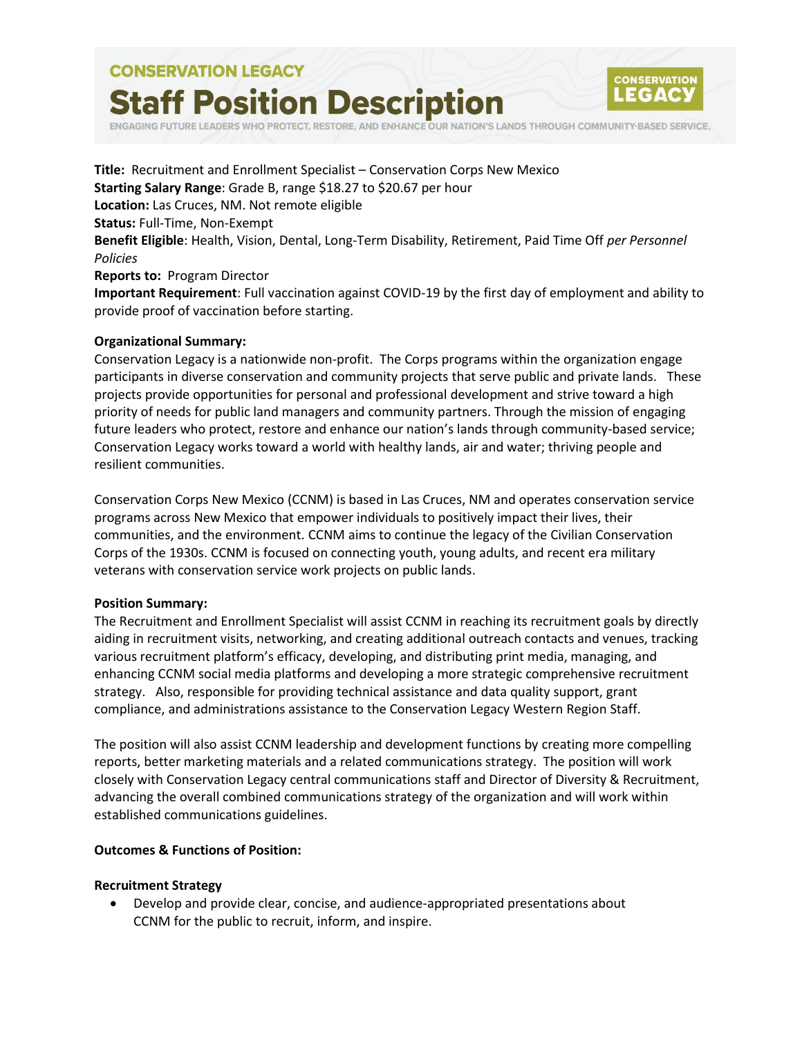# **CONSERVATION LEGACY Staff Position Description**



RESTORE, AND ENHANCE OUR NATION'S LANDS THROUGH COMMUNITY-BASED SERVICE.

**Title:** Recruitment and Enrollment Specialist – Conservation Corps New Mexico **Starting Salary Range**: Grade B, range \$18.27 to \$20.67 per hour **Location:** Las Cruces, NM. Not remote eligible **Status:** Full-Time, Non-Exempt **Benefit Eligible**: Health, Vision, Dental, Long-Term Disability, Retirement, Paid Time Off *per Personnel Policies* **Reports to:** Program Director **Important Requirement**: Full vaccination against COVID-19 by the first day of employment and ability to provide proof of vaccination before starting.

#### **Organizational Summary:**

Conservation Legacy is a nationwide non-profit. The Corps programs within the organization engage participants in diverse conservation and community projects that serve public and private lands. These projects provide opportunities for personal and professional development and strive toward a high priority of needs for public land managers and community partners. Through the mission of engaging future leaders who protect, restore and enhance our nation's lands through community-based service; Conservation Legacy works toward a world with healthy lands, air and water; thriving people and resilient communities.

Conservation Corps New Mexico (CCNM) is based in Las Cruces, NM and operates conservation service programs across New Mexico that empower individuals to positively impact their lives, their communities, and the environment. CCNM aims to continue the legacy of the Civilian Conservation Corps of the 1930s. CCNM is focused on connecting youth, young adults, and recent era military veterans with conservation service work projects on public lands.

#### **Position Summary:**

The Recruitment and Enrollment Specialist will assist CCNM in reaching its recruitment goals by directly aiding in recruitment visits, networking, and creating additional outreach contacts and venues, tracking various recruitment platform's efficacy, developing, and distributing print media, managing, and enhancing CCNM social media platforms and developing a more strategic comprehensive recruitment strategy. Also, responsible for providing technical assistance and data quality support, grant compliance, and administrations assistance to the Conservation Legacy Western Region Staff.

The position will also assist CCNM leadership and development functions by creating more compelling reports, better marketing materials and a related communications strategy. The position will work closely with Conservation Legacy central communications staff and Director of Diversity & Recruitment, advancing the overall combined communications strategy of the organization and will work within established communications guidelines.

#### **Outcomes & Functions of Position:**

#### **Recruitment Strategy**

• Develop and provide clear, concise, and audience-appropriated presentations about CCNM for the public to recruit, inform, and inspire.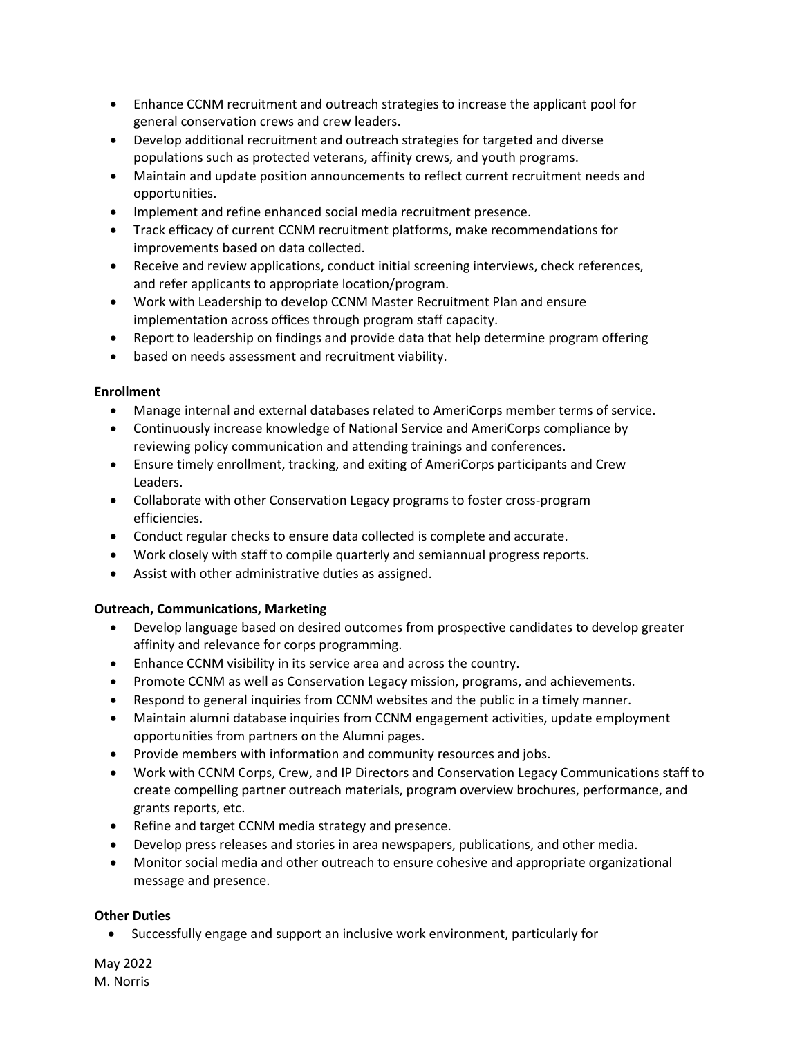- Enhance CCNM recruitment and outreach strategies to increase the applicant pool for general conservation crews and crew leaders.
- Develop additional recruitment and outreach strategies for targeted and diverse populations such as protected veterans, affinity crews, and youth programs.
- Maintain and update position announcements to reflect current recruitment needs and opportunities.
- Implement and refine enhanced social media recruitment presence.
- Track efficacy of current CCNM recruitment platforms, make recommendations for improvements based on data collected.
- Receive and review applications, conduct initial screening interviews, check references, and refer applicants to appropriate location/program.
- Work with Leadership to develop CCNM Master Recruitment Plan and ensure implementation across offices through program staff capacity.
- Report to leadership on findings and provide data that help determine program offering
- based on needs assessment and recruitment viability.

## **Enrollment**

- Manage internal and external databases related to AmeriCorps member terms of service.
- Continuously increase knowledge of National Service and AmeriCorps compliance by reviewing policy communication and attending trainings and conferences.
- Ensure timely enrollment, tracking, and exiting of AmeriCorps participants and Crew Leaders.
- Collaborate with other Conservation Legacy programs to foster cross-program efficiencies.
- Conduct regular checks to ensure data collected is complete and accurate.
- Work closely with staff to compile quarterly and semiannual progress reports.
- Assist with other administrative duties as assigned.

# **Outreach, Communications, Marketing**

- Develop language based on desired outcomes from prospective candidates to develop greater affinity and relevance for corps programming.
- Enhance CCNM visibility in its service area and across the country.
- Promote CCNM as well as Conservation Legacy mission, programs, and achievements.
- Respond to general inquiries from CCNM websites and the public in a timely manner.
- Maintain alumni database inquiries from CCNM engagement activities, update employment opportunities from partners on the Alumni pages.
- Provide members with information and community resources and jobs.
- Work with CCNM Corps, Crew, and IP Directors and Conservation Legacy Communications staff to create compelling partner outreach materials, program overview brochures, performance, and grants reports, etc.
- Refine and target CCNM media strategy and presence.
- Develop press releases and stories in area newspapers, publications, and other media.
- Monitor social media and other outreach to ensure cohesive and appropriate organizational message and presence.

# **Other Duties**

• Successfully engage and support an inclusive work environment, particularly for

May 2022 M. Norris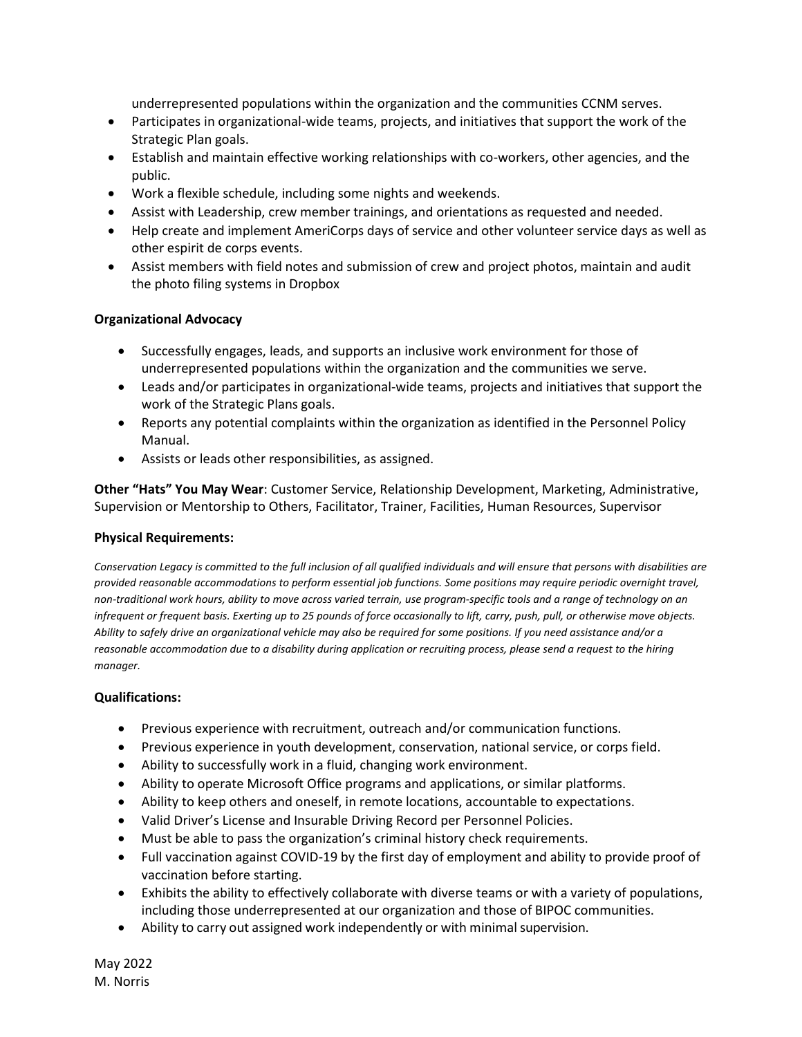underrepresented populations within the organization and the communities CCNM serves.

- Participates in organizational-wide teams, projects, and initiatives that support the work of the Strategic Plan goals.
- Establish and maintain effective working relationships with co-workers, other agencies, and the public.
- Work a flexible schedule, including some nights and weekends.
- Assist with Leadership, crew member trainings, and orientations as requested and needed.
- Help create and implement AmeriCorps days of service and other volunteer service days as well as other espirit de corps events.
- Assist members with field notes and submission of crew and project photos, maintain and audit the photo filing systems in Dropbox

# **Organizational Advocacy**

- Successfully engages, leads, and supports an inclusive work environment for those of underrepresented populations within the organization and the communities we serve.
- Leads and/or participates in organizational-wide teams, projects and initiatives that support the work of the Strategic Plans goals.
- Reports any potential complaints within the organization as identified in the Personnel Policy Manual.
- Assists or leads other responsibilities, as assigned.

**Other "Hats" You May Wear**: Customer Service, Relationship Development, Marketing, Administrative, Supervision or Mentorship to Others, Facilitator, Trainer, Facilities, Human Resources, Supervisor

### **Physical Requirements:**

*Conservation Legacy is committed to the full inclusion of all qualified individuals and will ensure that persons with disabilities are provided reasonable accommodations to perform essential job functions. Some positions may require periodic overnight travel, non-traditional work hours, ability to move across varied terrain, use program-specific tools and a range of technology on an infrequent or frequent basis. Exerting up to 25 pounds of force occasionally to lift, carry, push, pull, or otherwise move objects. Ability to safely drive an organizational vehicle may also be required for some positions. If you need assistance and/or a reasonable accommodation due to a disability during application or recruiting process, please send a request to the hiring manager.*

# **Qualifications:**

- Previous experience with recruitment, outreach and/or communication functions.
- Previous experience in youth development, conservation, national service, or corps field.
- Ability to successfully work in a fluid, changing work environment.
- Ability to operate Microsoft Office programs and applications, or similar platforms.
- Ability to keep others and oneself, in remote locations, accountable to expectations.
- Valid Driver's License and Insurable Driving Record per Personnel Policies.
- Must be able to pass the organization's criminal history check requirements.
- Full vaccination against COVID-19 by the first day of employment and ability to provide proof of vaccination before starting.
- Exhibits the ability to effectively collaborate with diverse teams or with a variety of populations, including those underrepresented at our organization and those of BIPOC communities.
- Ability to carry out assigned work independently or with minimal supervision.